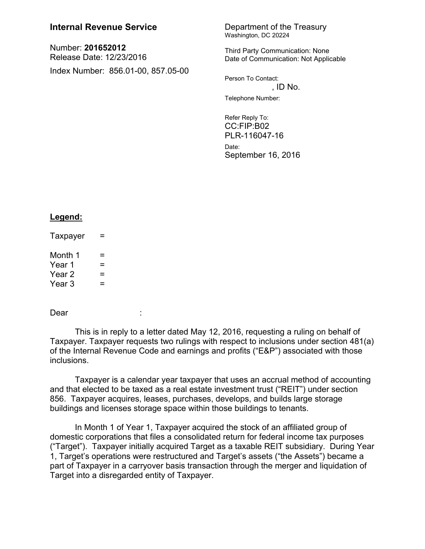# **Internal Revenue Service** Department of the Treasury

Number: **201652012** Release Date: 12/23/2016 Index Number: 856.01-00, 857.05-00

# Washington, DC 20224

Third Party Communication: None Date of Communication: Not Applicable

Person To Contact:  $,$  ID No. Telephone Number:

Refer Reply To: CC:FIP:B02 PLR-116047-16 Date: September 16, 2016

# **Legend:**

- Taxpayer =
- Month  $1 =$ Year  $1 =$ Year  $2 =$  $Year 3 =$

Dear : the set of the set of the set of the set of the set of the set of the set of the set of the set of the set of the set of the set of the set of the set of the set of the set of the set of the set of the set of the se

This is in reply to a letter dated May 12, 2016, requesting a ruling on behalf of Taxpayer. Taxpayer requests two rulings with respect to inclusions under section 481(a) of the Internal Revenue Code and earnings and profits ("E&P") associated with those inclusions.

Taxpayer is a calendar year taxpayer that uses an accrual method of accounting and that elected to be taxed as a real estate investment trust ("REIT") under section 856. Taxpayer acquires, leases, purchases, develops, and builds large storage buildings and licenses storage space within those buildings to tenants.

In Month 1 of Year 1, Taxpayer acquired the stock of an affiliated group of domestic corporations that files a consolidated return for federal income tax purposes ("Target"). Taxpayer initially acquired Target as a taxable REIT subsidiary. During Year 1, Target's operations were restructured and Target's assets ("the Assets") became a part of Taxpayer in a carryover basis transaction through the merger and liquidation of Target into a disregarded entity of Taxpayer.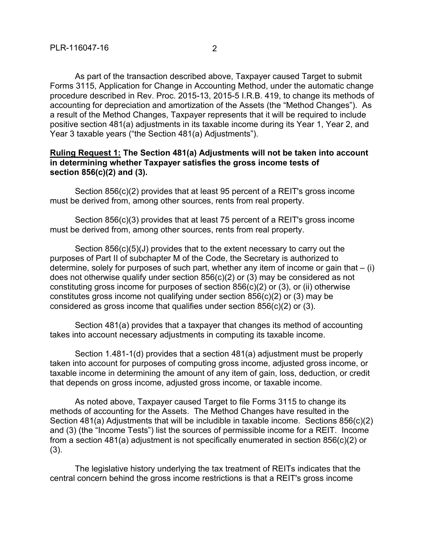As part of the transaction described above, Taxpayer caused Target to submit Forms 3115, Application for Change in Accounting Method, under the automatic change procedure described in Rev. Proc. 2015-13, 2015-5 I.R.B. 419, to change its methods of accounting for depreciation and amortization of the Assets (the "Method Changes"). As a result of the Method Changes, Taxpayer represents that it will be required to include positive section 481(a) adjustments in its taxable income during its Year 1, Year 2, and Year 3 taxable years ("the Section 481(a) Adjustments").

### **Ruling Request 1: The Section 481(a) Adjustments will not be taken into account in determining whether Taxpayer satisfies the gross income tests of section 856(c)(2) and (3).**

Section 856(c)(2) provides that at least 95 percent of a REIT's gross income must be derived from, among other sources, rents from real property.

Section 856(c)(3) provides that at least 75 percent of a REIT's gross income must be derived from, among other sources, rents from real property.

Section 856(c)(5)(J) provides that to the extent necessary to carry out the purposes of Part II of subchapter M of the Code, the Secretary is authorized to determine, solely for purposes of such part, whether any item of income or gain that  $-$  (i) does not otherwise qualify under section 856(c)(2) or (3) may be considered as not constituting gross income for purposes of section 856(c)(2) or (3), or (ii) otherwise constitutes gross income not qualifying under section 856(c)(2) or (3) may be considered as gross income that qualifies under section  $856(c)(2)$  or (3).

Section 481(a) provides that a taxpayer that changes its method of accounting takes into account necessary adjustments in computing its taxable income.

Section 1.481-1(d) provides that a section 481(a) adjustment must be properly taken into account for purposes of computing gross income, adjusted gross income, or taxable income in determining the amount of any item of gain, loss, deduction, or credit that depends on gross income, adjusted gross income, or taxable income.

As noted above, Taxpayer caused Target to file Forms 3115 to change its methods of accounting for the Assets. The Method Changes have resulted in the Section 481(a) Adjustments that will be includible in taxable income. Sections 856(c)(2) and (3) (the "Income Tests") list the sources of permissible income for a REIT. Income from a section 481(a) adjustment is not specifically enumerated in section 856(c)(2) or (3).

The legislative history underlying the tax treatment of REITs indicates that the central concern behind the gross income restrictions is that a REIT's gross income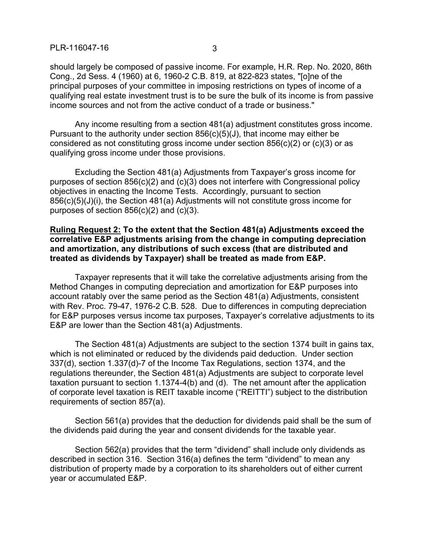PLR-116047-16 3

should largely be composed of passive income. For example, H.R. Rep. No. 2020, 86th Cong., 2d Sess. 4 (1960) at 6, 1960-2 C.B. 819, at 822-823 states, "[o]ne of the principal purposes of your committee in imposing restrictions on types of income of a qualifying real estate investment trust is to be sure the bulk of its income is from passive income sources and not from the active conduct of a trade or business."

Any income resulting from a section 481(a) adjustment constitutes gross income. Pursuant to the authority under section 856(c)(5)(J), that income may either be considered as not constituting gross income under section 856(c)(2) or (c)(3) or as qualifying gross income under those provisions.

Excluding the Section 481(a) Adjustments from Taxpayer's gross income for purposes of section 856(c)(2) and (c)(3) does not interfere with Congressional policy objectives in enacting the Income Tests. Accordingly, pursuant to section 856(c)(5)(J)(i), the Section 481(a) Adjustments will not constitute gross income for purposes of section  $856(c)(2)$  and  $(c)(3)$ .

#### **Ruling Request 2: To the extent that the Section 481(a) Adjustments exceed the correlative E&P adjustments arising from the change in computing depreciation and amortization, any distributions of such excess (that are distributed and treated as dividends by Taxpayer) shall be treated as made from E&P.**

Taxpayer represents that it will take the correlative adjustments arising from the Method Changes in computing depreciation and amortization for E&P purposes into account ratably over the same period as the Section 481(a) Adjustments, consistent with Rev. Proc. 79-47, 1976-2 C.B. 528. Due to differences in computing depreciation for E&P purposes versus income tax purposes, Taxpayer's correlative adjustments to its E&P are lower than the Section 481(a) Adjustments.

The Section 481(a) Adjustments are subject to the section 1374 built in gains tax, which is not eliminated or reduced by the dividends paid deduction. Under section 337(d), section 1.337(d)-7 of the Income Tax Regulations, section 1374, and the regulations thereunder, the Section 481(a) Adjustments are subject to corporate level taxation pursuant to section 1.1374-4(b) and (d). The net amount after the application of corporate level taxation is REIT taxable income ("REITTI") subject to the distribution requirements of section 857(a).

Section 561(a) provides that the deduction for dividends paid shall be the sum of the dividends paid during the year and consent dividends for the taxable year.

Section 562(a) provides that the term "dividend" shall include only dividends as described in section 316. Section 316(a) defines the term "dividend" to mean any distribution of property made by a corporation to its shareholders out of either current year or accumulated E&P.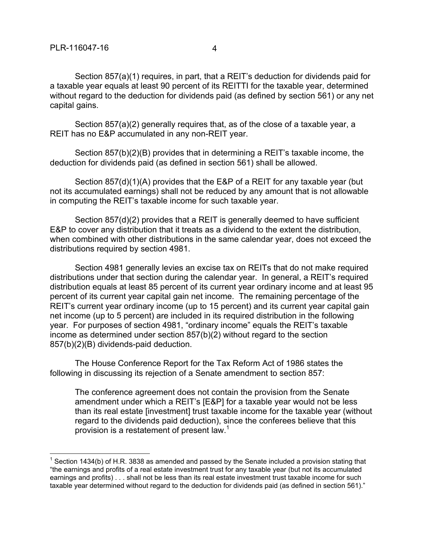$\overline{a}$ 

Section 857(a)(1) requires, in part, that a REIT's deduction for dividends paid for a taxable year equals at least 90 percent of its REITTI for the taxable year, determined without regard to the deduction for dividends paid (as defined by section 561) or any net capital gains.

Section 857(a)(2) generally requires that, as of the close of a taxable year, a REIT has no E&P accumulated in any non-REIT year.

Section 857(b)(2)(B) provides that in determining a REIT's taxable income, the deduction for dividends paid (as defined in section 561) shall be allowed.

Section 857(d)(1)(A) provides that the E&P of a REIT for any taxable year (but not its accumulated earnings) shall not be reduced by any amount that is not allowable in computing the REIT's taxable income for such taxable year.

Section 857(d)(2) provides that a REIT is generally deemed to have sufficient E&P to cover any distribution that it treats as a dividend to the extent the distribution, when combined with other distributions in the same calendar year, does not exceed the distributions required by section 4981.

Section 4981 generally levies an excise tax on REITs that do not make required distributions under that section during the calendar year. In general, a REIT's required distribution equals at least 85 percent of its current year ordinary income and at least 95 percent of its current year capital gain net income. The remaining percentage of the REIT's current year ordinary income (up to 15 percent) and its current year capital gain net income (up to 5 percent) are included in its required distribution in the following year. For purposes of section 4981, "ordinary income" equals the REIT's taxable income as determined under section 857(b)(2) without regard to the section 857(b)(2)(B) dividends-paid deduction.

The House Conference Report for the Tax Reform Act of 1986 states the following in discussing its rejection of a Senate amendment to section 857:

The conference agreement does not contain the provision from the Senate amendment under which a REIT's [E&P] for a taxable year would not be less than its real estate [investment] trust taxable income for the taxable year (without regard to the dividends paid deduction), since the conferees believe that this provision is a restatement of present law.<sup>1</sup>

 $1$  Section 1434(b) of H.R. 3838 as amended and passed by the Senate included a provision stating that "the earnings and profits of a real estate investment trust for any taxable year (but not its accumulated earnings and profits) . . . shall not be less than its real estate investment trust taxable income for such taxable year determined without regard to the deduction for dividends paid (as defined in section 561)."